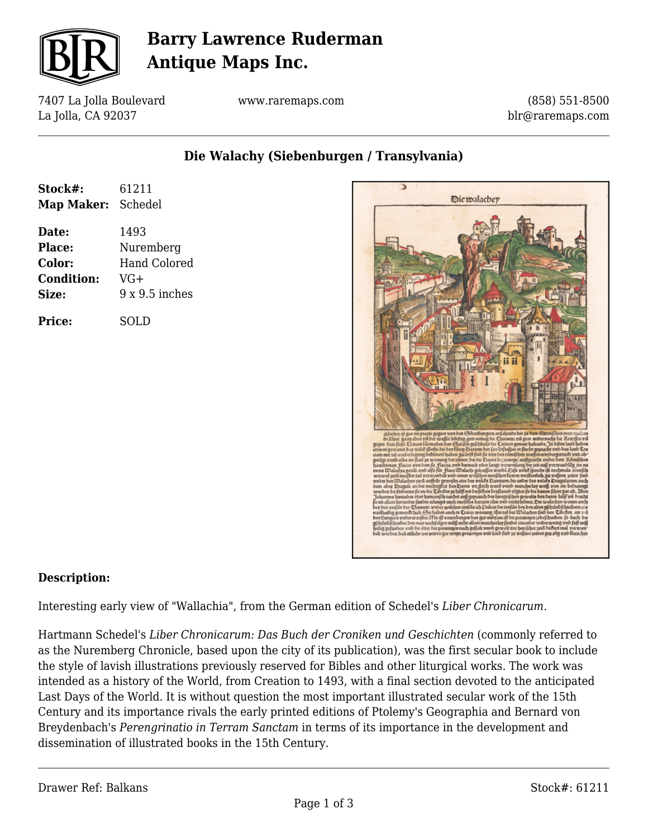

# **Barry Lawrence Ruderman Antique Maps Inc.**

7407 La Jolla Boulevard La Jolla, CA 92037

www.raremaps.com

(858) 551-8500 blr@raremaps.com

**Die Walachy (Siebenburgen / Transylvania)**

| Stock#:            | 61211               |
|--------------------|---------------------|
| Map Maker: Schedel |                     |
| Date:              | 1493                |
| <b>Place:</b>      | Nuremberg           |
| Color:             | <b>Hand Colored</b> |
| <b>Condition:</b>  | VG+                 |
| Size:              | $9x9.5$ inches      |
| Price:             | SOLD                |



#### **Description:**

Interesting early view of "Wallachia", from the German edition of Schedel's *Liber Chronicarum.*

Hartmann Schedel's *Liber Chronicarum: Das Buch der Croniken und Geschichten* (commonly referred to as the Nuremberg Chronicle, based upon the city of its publication), was the first secular book to include the style of lavish illustrations previously reserved for Bibles and other liturgical works. The work was intended as a history of the World, from Creation to 1493, with a final section devoted to the anticipated Last Days of the World. It is without question the most important illustrated secular work of the 15th Century and its importance rivals the early printed editions of Ptolemy's Geographia and Bernard von Breydenbach's *Perengrinatio in Terram Sanctam* in terms of its importance in the development and dissemination of illustrated books in the 15th Century.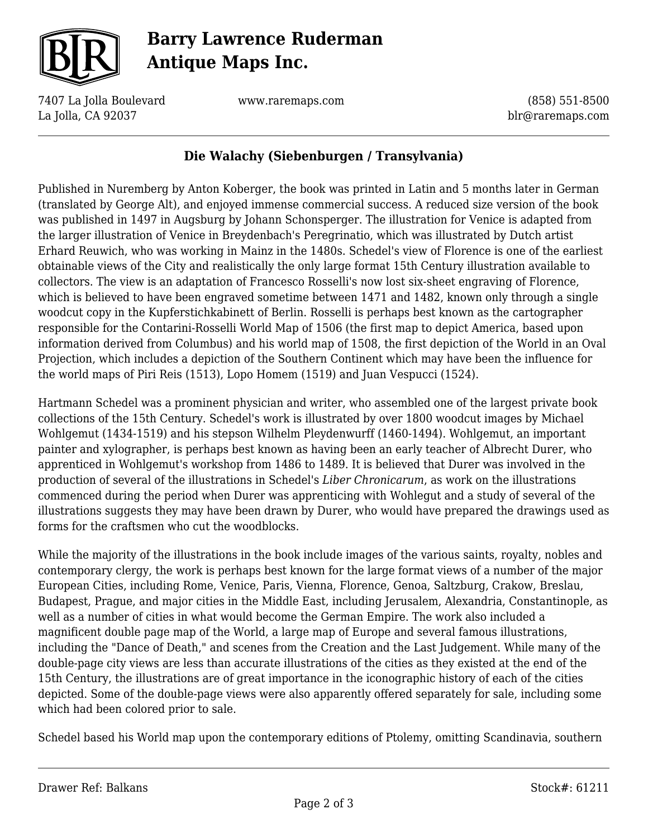

# **Barry Lawrence Ruderman Antique Maps Inc.**

7407 La Jolla Boulevard La Jolla, CA 92037

www.raremaps.com

(858) 551-8500 blr@raremaps.com

### **Die Walachy (Siebenburgen / Transylvania)**

Published in Nuremberg by Anton Koberger, the book was printed in Latin and 5 months later in German (translated by George Alt), and enjoyed immense commercial success. A reduced size version of the book was published in 1497 in Augsburg by Johann Schonsperger. The illustration for Venice is adapted from the larger illustration of Venice in Breydenbach's Peregrinatio, which was illustrated by Dutch artist Erhard Reuwich, who was working in Mainz in the 1480s. Schedel's view of Florence is one of the earliest obtainable views of the City and realistically the only large format 15th Century illustration available to collectors. The view is an adaptation of Francesco Rosselli's now lost six-sheet engraving of Florence, which is believed to have been engraved sometime between 1471 and 1482, known only through a single woodcut copy in the Kupferstichkabinett of Berlin. Rosselli is perhaps best known as the cartographer responsible for the Contarini-Rosselli World Map of 1506 (the first map to depict America, based upon information derived from Columbus) and his world map of 1508, the first depiction of the World in an Oval Projection, which includes a depiction of the Southern Continent which may have been the influence for the world maps of Piri Reis (1513), Lopo Homem (1519) and Juan Vespucci (1524).

Hartmann Schedel was a prominent physician and writer, who assembled one of the largest private book collections of the 15th Century. Schedel's work is illustrated by over 1800 woodcut images by Michael Wohlgemut (1434-1519) and his stepson Wilhelm Pleydenwurff (1460-1494). Wohlgemut, an important painter and xylographer, is perhaps best known as having been an early teacher of Albrecht Durer, who apprenticed in Wohlgemut's workshop from 1486 to 1489. It is believed that Durer was involved in the production of several of the illustrations in Schedel's *Liber Chronicarum*, as work on the illustrations commenced during the period when Durer was apprenticing with Wohlegut and a study of several of the illustrations suggests they may have been drawn by Durer, who would have prepared the drawings used as forms for the craftsmen who cut the woodblocks.

While the majority of the illustrations in the book include images of the various saints, royalty, nobles and contemporary clergy, the work is perhaps best known for the large format views of a number of the major European Cities, including Rome, Venice, Paris, Vienna, Florence, Genoa, Saltzburg, Crakow, Breslau, Budapest, Prague, and major cities in the Middle East, including Jerusalem, Alexandria, Constantinople, as well as a number of cities in what would become the German Empire. The work also included a magnificent double page map of the World, a large map of Europe and several famous illustrations, including the "Dance of Death," and scenes from the Creation and the Last Judgement. While many of the double-page city views are less than accurate illustrations of the cities as they existed at the end of the 15th Century, the illustrations are of great importance in the iconographic history of each of the cities depicted. Some of the double-page views were also apparently offered separately for sale, including some which had been colored prior to sale.

Schedel based his World map upon the contemporary editions of Ptolemy, omitting Scandinavia, southern